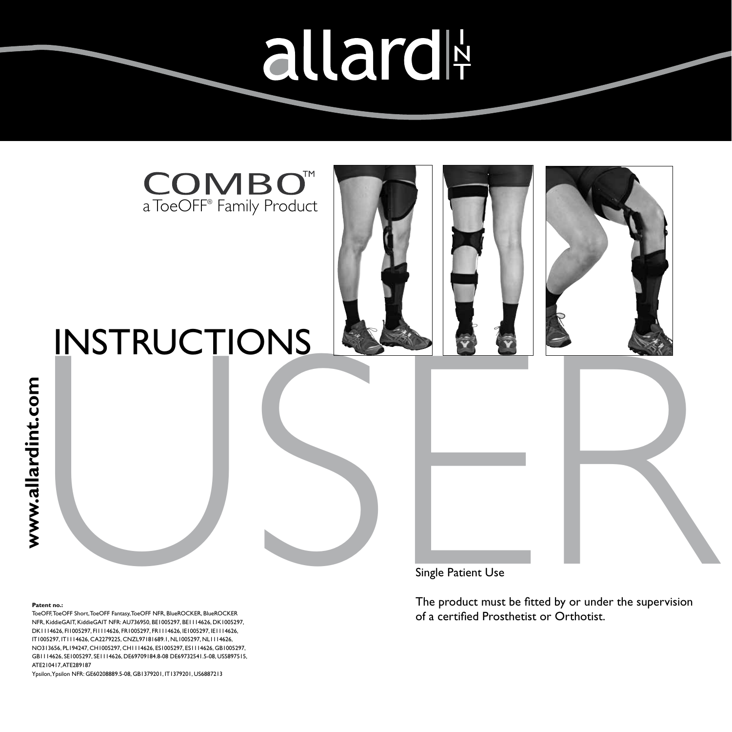allard







# INSTRUCTIONS<br>
Single Patient Use<br>
The product must be fitted by or under the supervision<br>
of a certified Prosthetist or Orthotist.

### **Patent no.:**

ToeOFF, ToeOFF Short, ToeOFF Fantasy, ToeOFF NFR, BlueROCKER, BlueROCKER NFR, KiddieGAIT, KiddieGAIT NFR: AU736950, BE1005297, BE1114626, DK1005297, DK1114626, FI1005297, FI1114626, FR1005297, FR1114626, IE1005297, IE1114626, IT1005297, IT1114626, CA2279225, CNZL97181689.1, NL1005297, NL1114626, NO313656, PL194247, CH1005297, CH1114626, ES1005297, ES1114626, GB1005297, GB1114626, SE1005297, SE1114626, DE69709184.8-08 DE69732541.5-08, US5897515, ATE210417, ATE289187

Ypsilon, Ypsilon NFR: GE60208889.5-08, GB1379201, IT1379201, US6887213

Single Patient Use

The product must be fitted by or under the supervision of a certified Prosthetist or Orthotist.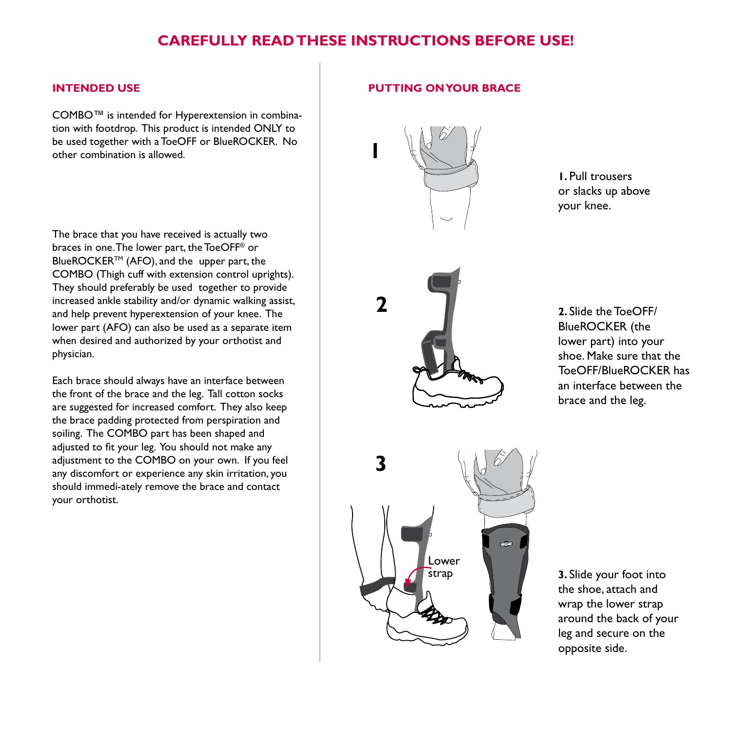## **Carefully read these instructions before use!**

**2**

### **Intended Use**

COMBO™ is intended for Hyperextension in combination with footdrop. This product is intended ONLY to be used together with a ToeOFF or BlueROCKER. No other combination is allowed.

The brace that you have received is actually two braces in one. The lower part, the ToeOFF® or BlueROCKER™ (AFO), and the upper part, the COMBO (Thigh cuff with extension control uprights). They should preferably be used together to provide increased ankle stability and/or dynamic walking assist, and help prevent hyperextension of your knee. The lower part (AFO) can also be used as a separate item when desired and authorized by your orthotist and physician.

Each brace should always have an interface between the front of the brace and the leg. Tall cotton socks are suggested for increased comfort. They also keep the brace padding protected from perspiration and soiling. The COMBO part has been shaped and adjusted to fit your leg. You should not make any adjustment to the COMBO on your own. If you feel any discomfort or experience any skin irritation, you should immedi-ately remove the brace and contact your orthotist.

### **PUTTING ON YOUR BRACE**



**1.** Pull trousers or slacks up above your knee.



**2.** Slide the ToeOFF/ BlueROCKER (the lower part) into your shoe. Make sure that the ToeOFF/BlueROCKER has an interface between the brace and the leg.

the shoe, attach and wrap the lower strap around the back of your leg and secure on the opposite side.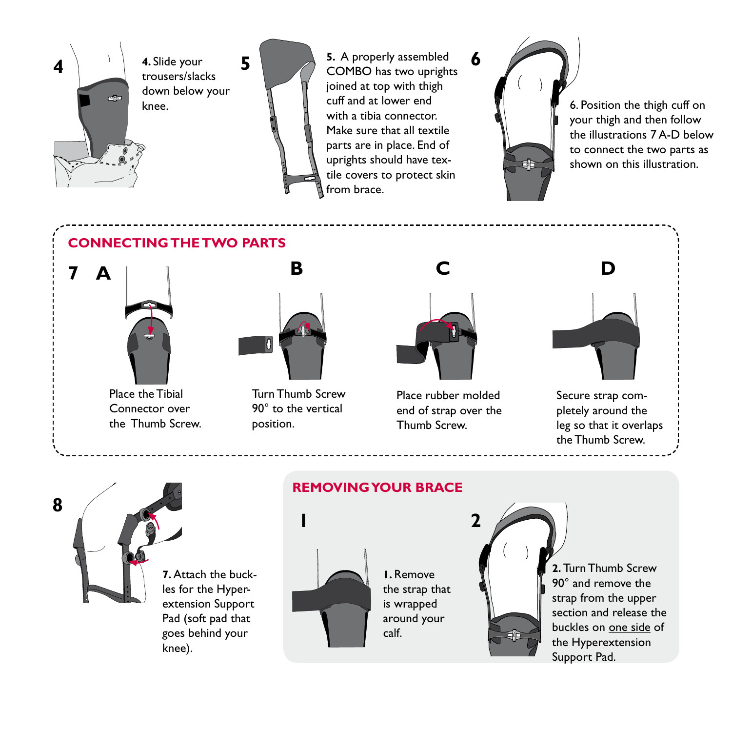

trousers/slacks down below your



**5.** A properly assembled COMBO has two uprights joined at top with thigh cuff and at lower end with a tibia connector. Make sure that all textile parts are in place. End of uprights should have textile covers to protect skin from brace.

COMBO **6**

knee.  $\mathbb{R}$   $\mathbb{R}$  cuff and at lower end  $\mathbb{R}$  6. Position the thigh cuff on your thigh and then follow the illustrations 7 A-D below to connect the two parts as shown on this illustration.

# **Connectingthe TWO PARTS**



Place the Tibial Connector over the Thumb Screw.



Turn Thumb Screw 90° to the vertical position.



Place rubber molded end of strap over the Thumb Screw.



Secure strap completely around the leg so that it overlaps the Thumb Screw.



# **REMOVING YOUR BRACE**



**1.** Remove the strap that is wrapped around your calf.



**2.** Turn Thumb Screw 90° and remove the strap from the upper section and release the buckles on one side of the Hyperextension Support Pad.